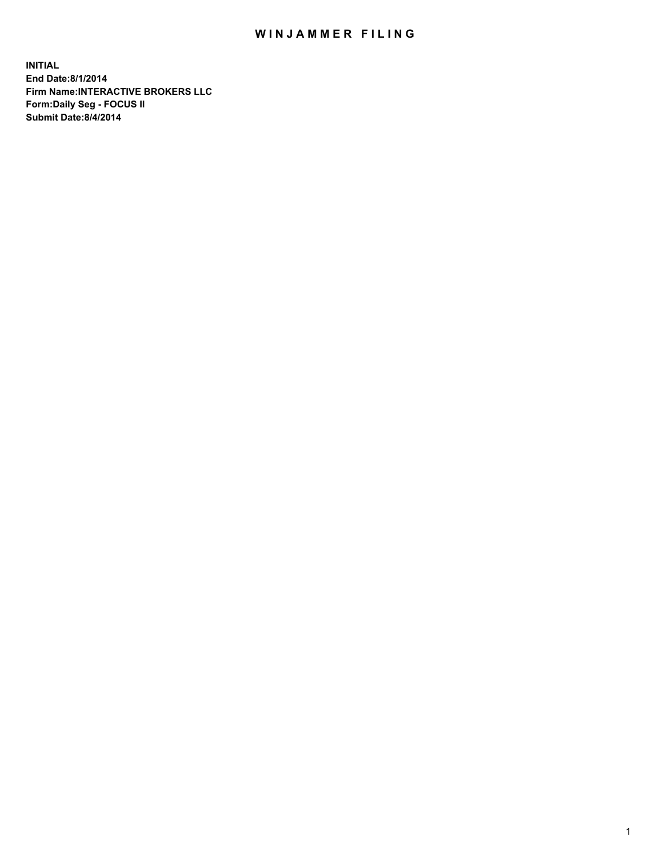## WIN JAMMER FILING

**INITIAL End Date:8/1/2014 Firm Name:INTERACTIVE BROKERS LLC Form:Daily Seg - FOCUS II Submit Date:8/4/2014**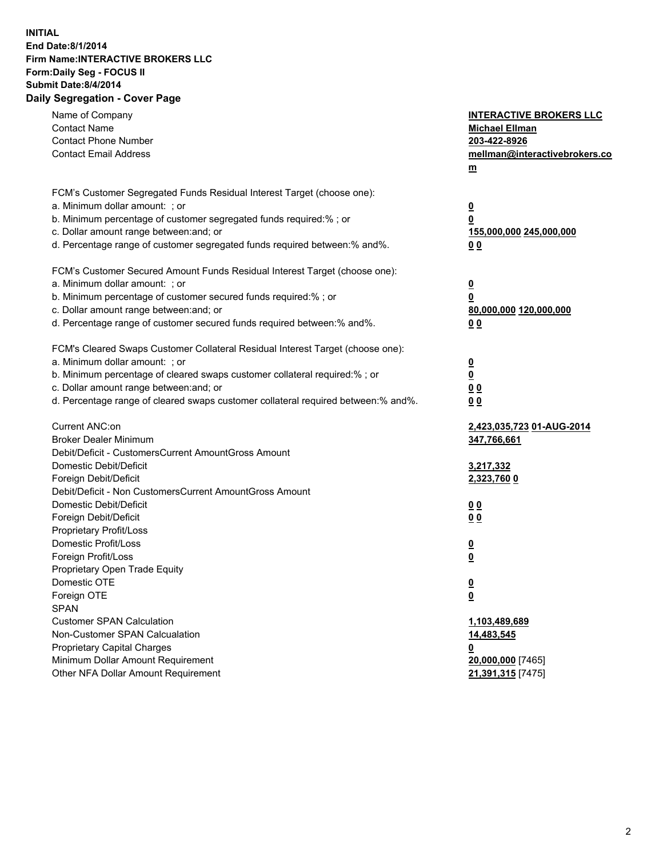## **INITIAL End Date:8/1/2014 Firm Name:INTERACTIVE BROKERS LLC Form:Daily Seg - FOCUS II Submit Date:8/4/2014 Daily Segregation - Cover Page**

| Name of Company<br><b>Contact Name</b>                                            | <b>INTERACTIVE BROKERS LLC</b><br><b>Michael Ellman</b> |
|-----------------------------------------------------------------------------------|---------------------------------------------------------|
| <b>Contact Phone Number</b>                                                       | 203-422-8926                                            |
| <b>Contact Email Address</b>                                                      | mellman@interactivebrokers.co                           |
|                                                                                   | $\underline{\mathbf{m}}$                                |
|                                                                                   |                                                         |
| FCM's Customer Segregated Funds Residual Interest Target (choose one):            |                                                         |
| a. Minimum dollar amount: ; or                                                    | $\overline{\mathbf{0}}$                                 |
| b. Minimum percentage of customer segregated funds required:% ; or                | 0                                                       |
| c. Dollar amount range between: and; or                                           | 155,000,000 245,000,000                                 |
| d. Percentage range of customer segregated funds required between:% and%.         | 00                                                      |
| FCM's Customer Secured Amount Funds Residual Interest Target (choose one):        |                                                         |
| a. Minimum dollar amount: ; or                                                    | $\overline{\mathbf{0}}$                                 |
| b. Minimum percentage of customer secured funds required:% ; or                   | 0                                                       |
| c. Dollar amount range between: and; or                                           | 80,000,000 120,000,000                                  |
| d. Percentage range of customer secured funds required between:% and%.            | 00                                                      |
|                                                                                   |                                                         |
| FCM's Cleared Swaps Customer Collateral Residual Interest Target (choose one):    |                                                         |
| a. Minimum dollar amount: ; or                                                    | $\overline{\mathbf{0}}$                                 |
| b. Minimum percentage of cleared swaps customer collateral required:% ; or        | $\overline{\mathbf{0}}$                                 |
| c. Dollar amount range between: and; or                                           | 0 <sub>0</sub>                                          |
| d. Percentage range of cleared swaps customer collateral required between:% and%. | 0 <sub>0</sub>                                          |
|                                                                                   |                                                         |
| Current ANC:on                                                                    | 2,423,035,723 01-AUG-2014                               |
| <b>Broker Dealer Minimum</b>                                                      | 347,766,661                                             |
| Debit/Deficit - CustomersCurrent AmountGross Amount                               |                                                         |
| Domestic Debit/Deficit                                                            | 3,217,332                                               |
| Foreign Debit/Deficit                                                             | 2,323,760 0                                             |
| Debit/Deficit - Non CustomersCurrent AmountGross Amount                           |                                                         |
| Domestic Debit/Deficit                                                            | 0 <sub>0</sub>                                          |
| Foreign Debit/Deficit                                                             | 0 <sub>0</sub>                                          |
| Proprietary Profit/Loss                                                           |                                                         |
| Domestic Profit/Loss                                                              | $\overline{\mathbf{0}}$                                 |
| Foreign Profit/Loss                                                               | $\underline{\mathbf{0}}$                                |
| Proprietary Open Trade Equity<br>Domestic OTE                                     |                                                         |
|                                                                                   | <u>0</u>                                                |
| Foreign OTE                                                                       | <u>0</u>                                                |
| <b>SPAN</b>                                                                       |                                                         |
| <b>Customer SPAN Calculation</b>                                                  | 1,103,489,689                                           |
| Non-Customer SPAN Calcualation                                                    | 14,483,545                                              |
| Proprietary Capital Charges                                                       | 0                                                       |
| Minimum Dollar Amount Requirement                                                 | 20,000,000 [7465]                                       |
| Other NFA Dollar Amount Requirement                                               | 21,391,315 [7475]                                       |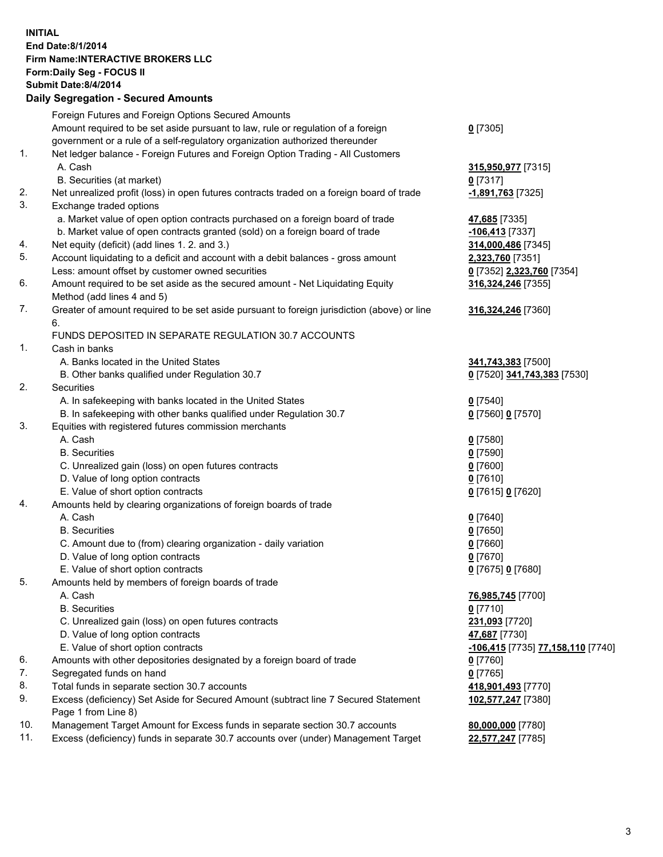## **INITIAL End Date:8/1/2014 Firm Name:INTERACTIVE BROKERS LLC Form:Daily Seg - FOCUS II Submit Date:8/4/2014 Daily Segregation - Secured Amounts**

|     | Foreign Futures and Foreign Options Secured Amounts                                                        |                                          |
|-----|------------------------------------------------------------------------------------------------------------|------------------------------------------|
|     | Amount required to be set aside pursuant to law, rule or regulation of a foreign                           | $0$ [7305]                               |
|     | government or a rule of a self-regulatory organization authorized thereunder                               |                                          |
| 1.  | Net ledger balance - Foreign Futures and Foreign Option Trading - All Customers                            |                                          |
|     | A. Cash                                                                                                    | 315,950,977 [7315]                       |
|     | B. Securities (at market)                                                                                  | $0$ [7317]                               |
| 2.  | Net unrealized profit (loss) in open futures contracts traded on a foreign board of trade                  | -1,891,763 <sup>[7325]</sup>             |
| 3.  | Exchange traded options                                                                                    |                                          |
|     | a. Market value of open option contracts purchased on a foreign board of trade                             | 47,685 [7335]                            |
|     | b. Market value of open contracts granted (sold) on a foreign board of trade                               | <u>-106,413</u> [7337]                   |
| 4.  | Net equity (deficit) (add lines 1.2. and 3.)                                                               | 314,000,486 [7345]                       |
| 5.  | Account liquidating to a deficit and account with a debit balances - gross amount                          | 2,323,760 [7351]                         |
|     | Less: amount offset by customer owned securities                                                           | 0 [7352] 2,323,760 [7354]                |
| 6.  | Amount required to be set aside as the secured amount - Net Liquidating Equity                             | 316, 324, 246 [7355]                     |
|     | Method (add lines 4 and 5)                                                                                 |                                          |
| 7.  | Greater of amount required to be set aside pursuant to foreign jurisdiction (above) or line                | 316,324,246 [7360]                       |
|     | 6.                                                                                                         |                                          |
|     | FUNDS DEPOSITED IN SEPARATE REGULATION 30.7 ACCOUNTS                                                       |                                          |
| 1.  | Cash in banks                                                                                              |                                          |
|     | A. Banks located in the United States                                                                      | 341,743,383 [7500]                       |
|     | B. Other banks qualified under Regulation 30.7                                                             | 0 [7520] 341,743,383 [7530]              |
| 2.  | Securities                                                                                                 |                                          |
|     | A. In safekeeping with banks located in the United States                                                  | $Q$ [7540]                               |
|     | B. In safekeeping with other banks qualified under Regulation 30.7                                         | 0 [7560] 0 [7570]                        |
| 3.  | Equities with registered futures commission merchants                                                      |                                          |
|     | A. Cash                                                                                                    | $0$ [7580]                               |
|     | <b>B.</b> Securities                                                                                       | $0$ [7590]                               |
|     | C. Unrealized gain (loss) on open futures contracts                                                        | $0$ [7600]                               |
|     | D. Value of long option contracts                                                                          | $0$ [7610]                               |
|     | E. Value of short option contracts                                                                         | 0 [7615] 0 [7620]                        |
| 4.  | Amounts held by clearing organizations of foreign boards of trade                                          |                                          |
|     | A. Cash                                                                                                    | $0$ [7640]                               |
|     | <b>B.</b> Securities                                                                                       | $0$ [7650]                               |
|     | C. Amount due to (from) clearing organization - daily variation                                            | $0$ [7660]                               |
|     | D. Value of long option contracts                                                                          | $0$ [7670]                               |
| 5.  | E. Value of short option contracts                                                                         | 0 [7675] 0 [7680]                        |
|     | Amounts held by members of foreign boards of trade                                                         |                                          |
|     | A. Cash<br><b>B.</b> Securities                                                                            | 76,985,745 [7700]                        |
|     |                                                                                                            | $0$ [7710]                               |
|     | C. Unrealized gain (loss) on open futures contracts                                                        | 231,093 [7720]                           |
|     | D. Value of long option contracts                                                                          | 47,687 [7730]                            |
| 6.  | E. Value of short option contracts                                                                         | <u>-106,415</u> [7735] 77,158,110 [7740] |
| 7.  | Amounts with other depositories designated by a foreign board of trade                                     | $0$ [7760]                               |
| 8.  | Segregated funds on hand<br>Total funds in separate section 30.7 accounts                                  | $0$ [7765]                               |
| 9.  |                                                                                                            | 418,901,493 [7770]                       |
|     | Excess (deficiency) Set Aside for Secured Amount (subtract line 7 Secured Statement<br>Page 1 from Line 8) | 102,577,247 [7380]                       |
| 10. | Management Target Amount for Excess funds in separate section 30.7 accounts                                | 80,000,000 [7780]                        |
| 11. | Excess (deficiency) funds in separate 30.7 accounts over (under) Management Target                         | 22,577,247 [7785]                        |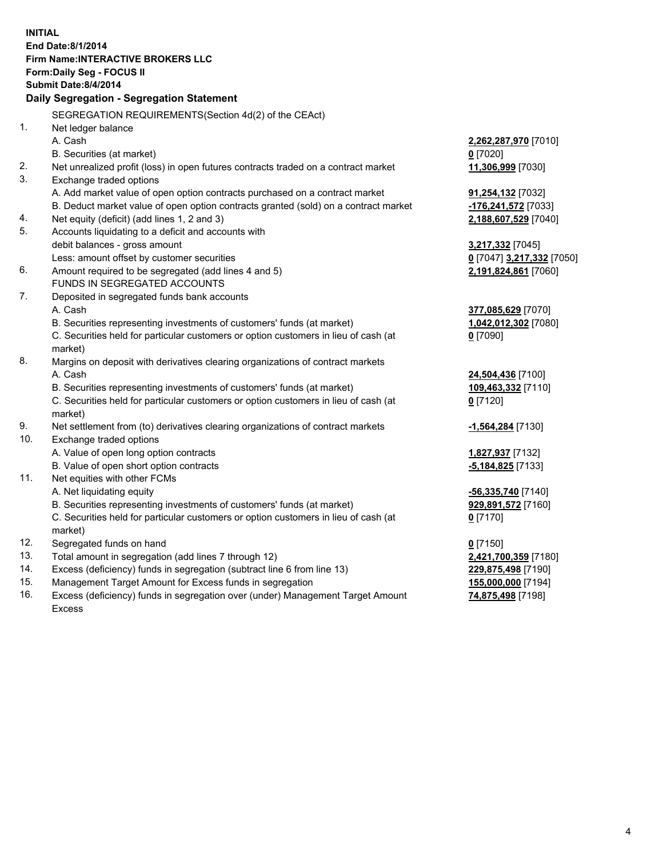**INITIAL End Date:8/1/2014 Firm Name:INTERACTIVE BROKERS LLC Form:Daily Seg - FOCUS II Submit Date:8/4/2014 Daily Segregation - Segregation Statement** SEGREGATION REQUIREMENTS(Section 4d(2) of the CEAct) 1. Net ledger balance A. Cash **2,262,287,970** [7010] B. Securities (at market) **0** [7020] 2. Net unrealized profit (loss) in open futures contracts traded on a contract market **11,306,999** [7030] 3. Exchange traded options A. Add market value of open option contracts purchased on a contract market **91,254,132** [7032] B. Deduct market value of open option contracts granted (sold) on a contract market **-176,241,572** [7033] 4. Net equity (deficit) (add lines 1, 2 and 3) **2,188,607,529** [7040] 5. Accounts liquidating to a deficit and accounts with debit balances - gross amount **3,217,332** [7045] Less: amount offset by customer securities **0** [7047] **3,217,332** [7050] 6. Amount required to be segregated (add lines 4 and 5) **2,191,824,861** [7060] FUNDS IN SEGREGATED ACCOUNTS 7. Deposited in segregated funds bank accounts A. Cash **377,085,629** [7070] B. Securities representing investments of customers' funds (at market) **1,042,012,302** [7080] C. Securities held for particular customers or option customers in lieu of cash (at market) **0** [7090] 8. Margins on deposit with derivatives clearing organizations of contract markets A. Cash **24,504,436** [7100] B. Securities representing investments of customers' funds (at market) **109,463,332** [7110] C. Securities held for particular customers or option customers in lieu of cash (at market) **0** [7120] 9. Net settlement from (to) derivatives clearing organizations of contract markets **-1,564,284** [7130] 10. Exchange traded options A. Value of open long option contracts **1,827,937** [7132] B. Value of open short option contracts **-5,184,825** [7133] 11. Net equities with other FCMs A. Net liquidating equity **-56,335,740** [7140] B. Securities representing investments of customers' funds (at market) **929,891,572** [7160] C. Securities held for particular customers or option customers in lieu of cash (at market) **0** [7170] 12. Segregated funds on hand **0** [7150] 13. Total amount in segregation (add lines 7 through 12) **2,421,700,359** [7180] 14. Excess (deficiency) funds in segregation (subtract line 6 from line 13) **229,875,498** [7190] 15. Management Target Amount for Excess funds in segregation **155,000,000** [7194]

16. Excess (deficiency) funds in segregation over (under) Management Target Amount Excess

**74,875,498** [7198]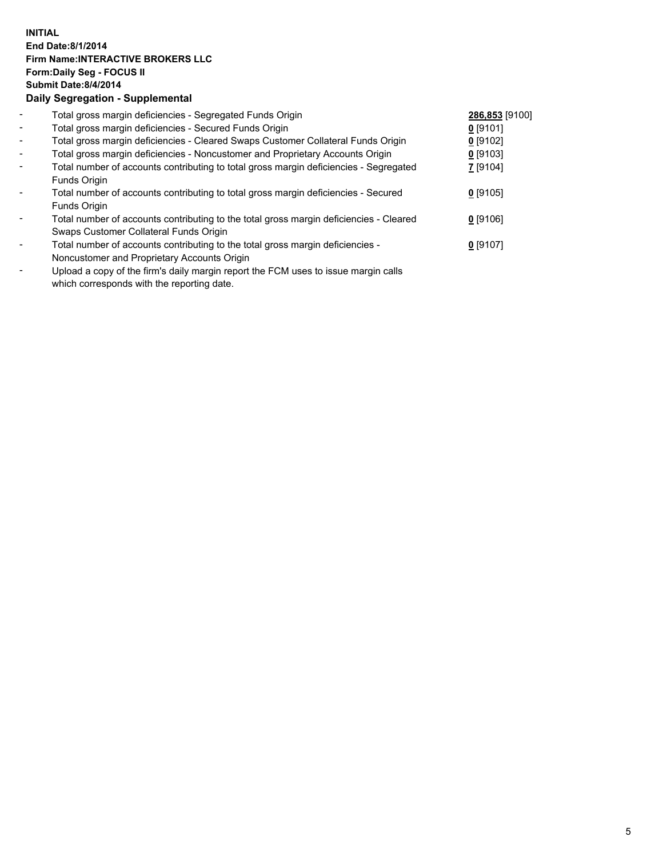## **INITIAL End Date:8/1/2014 Firm Name:INTERACTIVE BROKERS LLC Form:Daily Seg - FOCUS II Submit Date:8/4/2014 Daily Segregation - Supplemental**

| $\blacksquare$ | Total gross margin deficiencies - Segregated Funds Origin                                                                                                                                                                                         | 286,853 [9100] |  |
|----------------|---------------------------------------------------------------------------------------------------------------------------------------------------------------------------------------------------------------------------------------------------|----------------|--|
| $\blacksquare$ | Total gross margin deficiencies - Secured Funds Origin                                                                                                                                                                                            | $0$ [9101]     |  |
| $\blacksquare$ | Total gross margin deficiencies - Cleared Swaps Customer Collateral Funds Origin                                                                                                                                                                  | $0$ [9102]     |  |
| $\blacksquare$ | Total gross margin deficiencies - Noncustomer and Proprietary Accounts Origin                                                                                                                                                                     | $0$ [9103]     |  |
| $\sim$         | Total number of accounts contributing to total gross margin deficiencies - Segregated                                                                                                                                                             | 7 [9104]       |  |
|                | Funds Origin                                                                                                                                                                                                                                      |                |  |
| $\blacksquare$ | Total number of accounts contributing to total gross margin deficiencies - Secured                                                                                                                                                                | $0$ [9105]     |  |
|                | Funds Origin                                                                                                                                                                                                                                      |                |  |
|                | Total number of accounts contributing to the total gross margin deficiencies - Cleared                                                                                                                                                            | $0$ [9106]     |  |
|                | Swaps Customer Collateral Funds Origin                                                                                                                                                                                                            |                |  |
|                | Total number of accounts contributing to the total gross margin deficiencies -                                                                                                                                                                    | $0$ [9107]     |  |
|                | Noncustomer and Proprietary Accounts Origin                                                                                                                                                                                                       |                |  |
|                | The set of the $\mathcal{C}$ set of the set of the $\mathcal{C}$ and $\mathcal{C}$ and $\mathcal{C}$ is the set of the set of the set of the set of the set of the set of the set of the set of the set of the set of the set of the set of the s |                |  |

- Upload a copy of the firm's daily margin report the FCM uses to issue margin calls which corresponds with the reporting date.